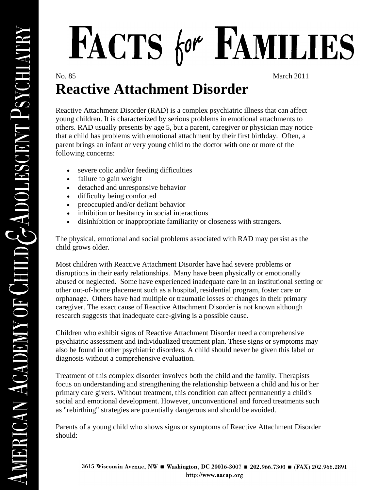## FACTS for FAMILIES

No. 85 March 2011

## **Reactive Attachment Disorder**

Reactive Attachment Disorder (RAD) is a complex psychiatric illness that can affect young children. It is characterized by serious problems in emotional attachments to others. RAD usually presents by age 5, but a parent, caregiver or physician may notice that a child has problems with emotional attachment by their first birthday. Often, a parent brings an infant or very young child to the doctor with one or more of the following concerns:

- severe colic and/or feeding difficulties
- failure to gain weight
- detached and unresponsive behavior
- difficulty being comforted
- preoccupied and/or defiant behavior
- inhibition or hesitancy in social interactions
- disinhibition or inappropriate familiarity or closeness with strangers.

The physical, emotional and social problems associated with RAD may persist as the child grows older.

Most children with Reactive Attachment Disorder have had severe problems or disruptions in their early relationships. Many have been physically or emotionally abused or neglected. Some have experienced inadequate care in an institutional setting or other out-of-home placement such as a hospital, residential program, foster care or orphanage. Others have had multiple or traumatic losses or changes in their primary caregiver. The exact cause of Reactive Attachment Disorder is not known although research suggests that inadequate care-giving is a possible cause.

Children who exhibit signs of Reactive Attachment Disorder need a comprehensive psychiatric assessment and individualized treatment plan. These signs or symptoms may also be found in other psychiatric disorders. A child should never be given this label or diagnosis without a comprehensive evaluation.

Treatment of this complex disorder involves both the child and the family. Therapists focus on understanding and strengthening the relationship between a child and his or her primary care givers. Without treatment, this condition can affect permanently a child's social and emotional development. However, unconventional and forced treatments such as "rebirthing" strategies are potentially dangerous and should be avoided.

Parents of a young child who shows signs or symptoms of Reactive Attachment Disorder should: